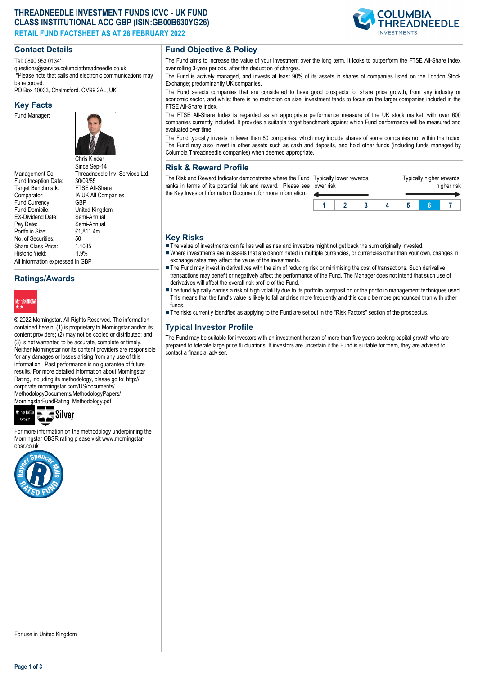# **THREADNEEDLE INVESTMENT FUNDS ICVC - UK FUND CLASS INSTITUTIONAL ACC GBP (ISIN:GB00B630YG26) RETAIL FUND FACTSHEET AS AT 28 FEBRUARY 2022**

#### **Contact Details**

Tel: 0800 953 0134\* questions@service.columbiathreadneedle.co.uk \*Please note that calls and electronic communications may be recorded.

PO Box 10033, Chelmsford. CM99 2AL, UK

#### **Key Facts**

Fund Manager:



Since Sep-14 Management Co: Threadneedle Inv. Services Ltd.<br>Fund Inception Date: 30/09/85 Fund Inception Date: 30/09/85<br>Target Benchmark: FTSF All-Share Target Benchmark: Comparator: IA UK All Companies<br>Fund Currency: GBP Fund Currency:<br>Fund Domicile: United Kingdom<br>Semi-Annual EX-Dividend Date:<br>Pav Date: Semi-Annual<br>£1.811.4m Portfolio Size: £1<br>No. of Securities: 50 No. of Securities: 50<br>Share Class Price: 1.1035 Share Class Price: Historic Vield: 1.9% All information expressed in GBP

**Ratings/Awards**



© 2022 Morningstar. All Rights Reserved. The information contained herein: (1) is proprietary to Morningstar and/or its content providers; (2) may not be copied or distributed; and (3) is not warranted to be accurate, complete or timely. Neither Morningstar nor its content providers are responsible for any damages or losses arising from any use of this information. Past performance is no guarantee of future results. For more detailed information about Morningstar Rating, including its methodology, please go to: http:// corporate.morningstar.com/US/documents/ MethodologyDocuments/MethodologyPapers/

MorningstarFundRating\_Methodology.pdf



For more information on the methodology underpinning the Morningstar OBSR rating please visit www.morningstarobsr.co.uk



## **Fund Objective & Policy**

The Fund aims to increase the value of your investment over the long term. It looks to outperform the FTSE All-Share Index over rolling 3-year periods, after the deduction of charges.

The Fund is actively managed, and invests at least 90% of its assets in shares of companies listed on the London Stock Exchange; predominantly UK companies.

The Fund selects companies that are considered to have good prospects for share price growth, from any industry or economic sector, and whilst there is no restriction on size, investment tends to focus on the larger companies included in the FTSE All-Share Index.

The FTSE All-Share Index is regarded as an appropriate performance measure of the UK stock market, with over 600 companies currently included. It provides a suitable target benchmark against which Fund performance will be measured and evaluated over time.

The Fund typically invests in fewer than 80 companies, which may include shares of some companies not within the Index. The Fund may also invest in other assets such as cash and deposits, and hold other funds (including funds managed by Columbia Threadneedle companies) when deemed appropriate.

#### **Risk & Reward Profile**

The Risk and Reward Indicator demonstrates where the Fund Typically lower rewards, ranks in terms of it's potential risk and reward. Please see lower risk the Key Investor Information Document for more information.  $\leftarrow$ 

| er risk | ically lower rewards. |  | Typically higher rewards,<br>higher risk |  |  |
|---------|-----------------------|--|------------------------------------------|--|--|
| и       |                       |  |                                          |  |  |

#### **Key Risks**

The value of investments can fall as well as rise and investors might not get back the sum originally invested.

- nWhere investments are in assets that are denominated in multiple currencies, or currencies other than your own, changes in exchange rates may affect the value of the investments.
- The Fund may invest in derivatives with the aim of reducing risk or minimising the cost of transactions. Such derivative transactions may benefit or negatively affect the performance of the Fund. The Manager does not intend that such use of derivatives will affect the overall risk profile of the Fund.
- The fund typically carries a risk of high volatility due to its portfolio composition or the portfolio management techniques used. This means that the fund's value is likely to fall and rise more frequently and this could be more pronounced than with other funds.
- n The risks currently identified as applying to the Fund are set out in the "Risk Factors" section of the prospectus.

## **Typical Investor Profile**

The Fund may be suitable for investors with an investment horizon of more than five years seeking capital growth who are prepared to tolerate large price fluctuations. If investors are uncertain if the Fund is suitable for them, they are advised to contact a financial adviser.

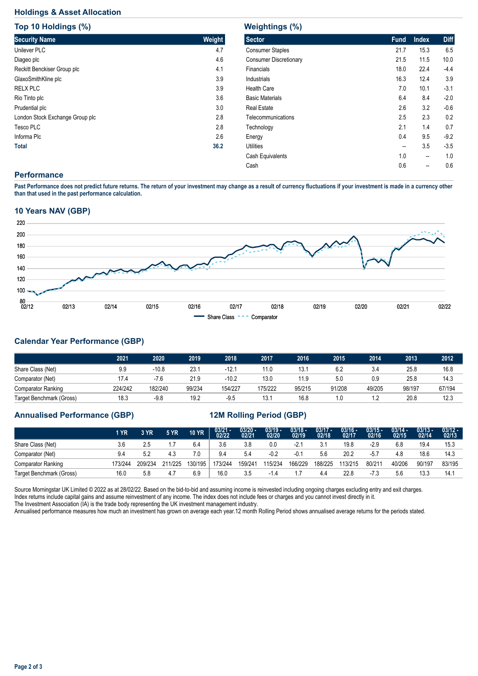# **Holdings & Asset Allocation**

| Top 10 Holdings (%)             |        |
|---------------------------------|--------|
| <b>Security Name</b>            | Weight |
| Unilever PLC                    | 4.7    |
| Diageo plc                      | 4.6    |
| Reckitt Benckiser Group plc     | 4.1    |
| GlaxoSmithKline plc             | 3.9    |
| <b>RELX PLC</b>                 | 3.9    |
| Rio Tinto plc                   | 3.6    |
| Prudential plc                  | 3.0    |
| London Stock Exchange Group plc | 2.8    |
| Tesco PLC                       | 2.8    |
| Informa Plc                     | 2.6    |
| <b>Total</b>                    | 36.2   |

| <b>Weightings (%)</b>         |             |              |             |
|-------------------------------|-------------|--------------|-------------|
| <b>Sector</b>                 | <b>Fund</b> | <b>Index</b> | <b>Diff</b> |
| <b>Consumer Staples</b>       | 21.7        | 15.3         | 6.5         |
| <b>Consumer Discretionary</b> | 21.5        | 11.5         | 10.0        |
| Financials                    | 18.0        | 22.4         | $-4.4$      |
| Industrials                   | 16.3        | 12.4         | 3.9         |
| <b>Health Care</b>            | 7.0         | 10.1         | $-3.1$      |
| <b>Basic Materials</b>        | 6.4         | 8.4          | $-2.0$      |
| <b>Real Estate</b>            | 2.6         | 3.2          | $-0.6$      |
| Telecommunications            | 2.5         | 2.3          | 0.2         |
| Technology                    | 2.1         | 1.4          | 0.7         |
| Energy                        | 0.4         | 9.5          | $-9.2$      |
| <b>Utilities</b>              | --          | 3.5          | $-3.5$      |
| Cash Equivalents              | 1.0         | --           | 1.0         |
| Cash                          | 0.6         | --           | 0.6         |
|                               |             |              |             |

## **Performance**

**Past Performance does not predict future returns. The return of your investment may change as a result of currency fluctuations if your investment is made in a currency other than that used in the past performance calculation.** 

## **10 Years NAV (GBP)**



# **Calendar Year Performance (GBP)**

|                           | 2021    | 2020    | 2019   | 2018    | 2017    | 2016   | 2015   | 2014   | 2013   | 2012   |
|---------------------------|---------|---------|--------|---------|---------|--------|--------|--------|--------|--------|
| Share Class (Net)         | 9.9     | $-10.8$ | 23.1   | $-12.1$ | 11.0    | 13.7   | 6.2    | 3.4    | 25.8   | 16.8   |
| Comparator (Net)          | 17.4    | $-7.6$  | 21.9   | -10.2   | 13.0    | 11.9   | 5.0    | 0.9    | 25.8   | 14.3   |
| <b>Comparator Ranking</b> | 224/242 | 182/240 | 99/234 | 154/227 | 175/222 | 95/215 | 91/208 | 49/205 | 98/197 | 67/194 |
| Target Benchmark (Gross)  | 18.3    | $-9.8$  | 19.2   | $-9.5$  | 13.7    | 16.8   | 1.0    |        | 20.8   | 12.3   |

# **Annualised Performance (GBP) 12M Rolling Period (GBP)**

|                           | 1 YR    | 3 YR    | <b>5 YR</b> | <b>10 YR</b> | $03/21 - 02/22$ | $\frac{03/20 - 0.21}{02/21}$ | 03/19 -<br>02/20 | $\frac{03/18}{02/19}$ | 03/17 -<br>02/18 | $03/16 -$<br>02/17 | $03/15 -$<br>02/16 | $03/14 -$<br>02/15 | $03/13 -$<br>02/14 | $03/12 -$<br>02/13 |
|---------------------------|---------|---------|-------------|--------------|-----------------|------------------------------|------------------|-----------------------|------------------|--------------------|--------------------|--------------------|--------------------|--------------------|
| Share Class (Net)         | 3.6     | 2.5     |             | 6.4          | 3.6             | 3.8                          | 0.0              | $-2.1$                | 3.1              | 19.8               | $-2.9$             | 6.8                | 19.4               | 15.3               |
| Comparator (Net)          | 9.4     | 5.2     | 4.3         | 7.0          | 9.4             | 5.4                          | $-0.2$           | -0.1                  | 5.6              | 20.2               | -5.7               | 4.8                | 18.6               | 14.3               |
| <b>Comparator Ranking</b> | 173/244 | 209/234 | 211/225     | 130/195      | 173/244         | 159/241                      | 115/234          | 166/229               | 188/225          | 113/215            | 80/211             | 40/206             | 90/197             | 83/195             |
| Target Benchmark (Gross)  | 16.0    | 5.8     | 4.7         | 6.9          | 16.0            | 3.5                          |                  |                       | 4.4              | 22.8               | 7.3<br>$-1$        | 5.6                | 13.3               | 14.1               |

Source Morningstar UK Limited © 2022 as at 28/02/22. Based on the bid-to-bid and assuming income is reinvested including ongoing charges excluding entry and exit charges. Index returns include capital gains and assume reinvestment of any income. The index does not include fees or charges and you cannot invest directly in it. The Investment Association (IA) is the trade body representing the UK investment management industry.

Annualised performance measures how much an investment has grown on average each year.12 month Rolling Period shows annualised average returns for the periods stated.